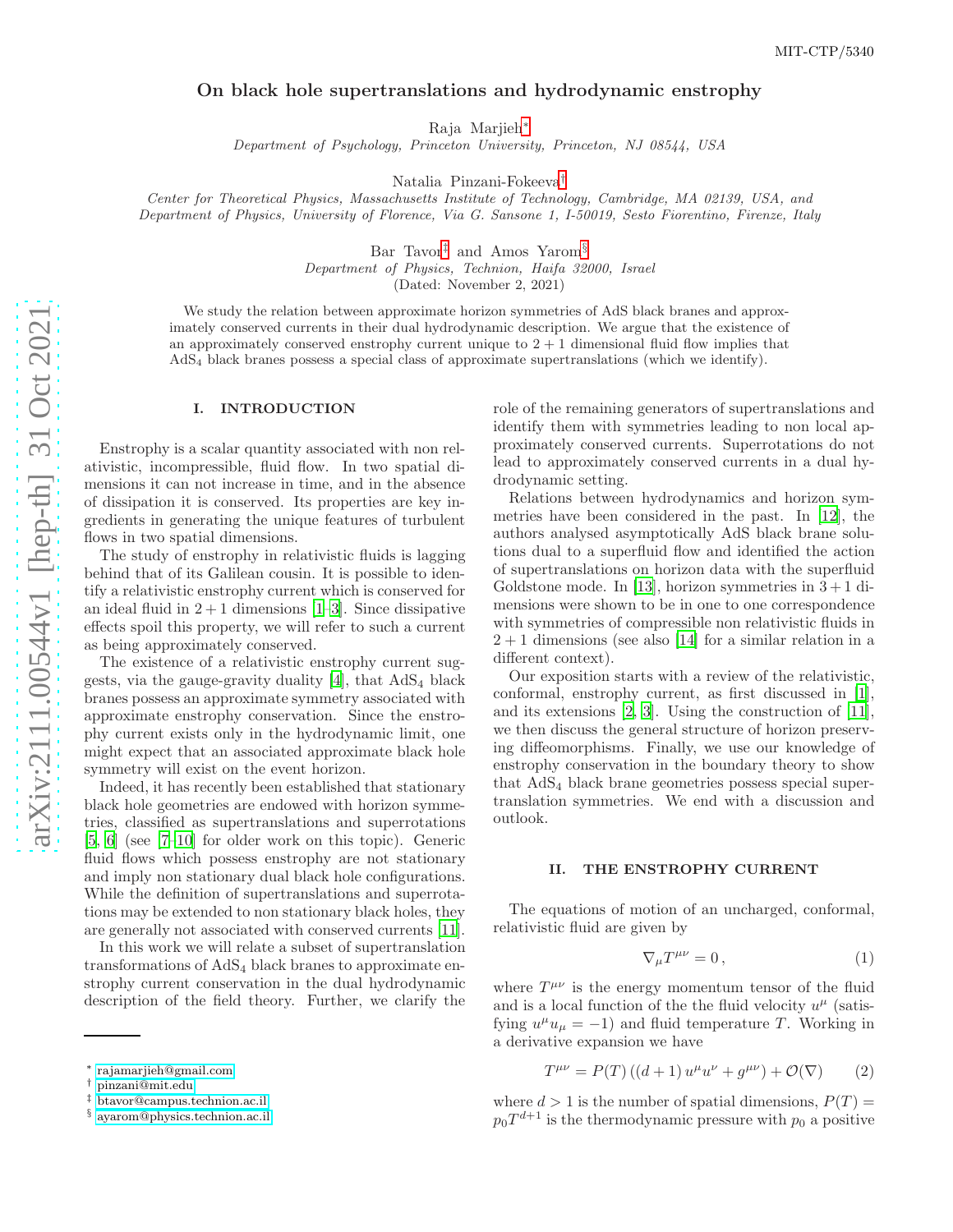# On black hole supertranslations and hydrodynamic enstrophy

Raja Marjieh [∗](#page-0-0)

Department of Psychology, Princeton University, Princeton, NJ 08544, USA

Natalia Pinzani-Fokeeva [†](#page-0-1)

Center for Theoretical Physics, Massachusetts Institute of Technology, Cambridge, MA 02139, USA, and Department of Physics, University of Florence, Via G. Sansone 1, I-50019, Sesto Fiorentino, Firenze, Italy

Bar Tavor [‡](#page-0-2) and Amos Yarom [§](#page-0-3)

Department of Physics, Technion, Haifa 32000, Israel

(Dated: November 2, 2021)

We study the relation between approximate horizon symmetries of AdS black branes and approximately conserved currents in their dual hydrodynamic description. We argue that the existence of an approximately conserved enstrophy current unique to  $2 + 1$  dimensional fluid flow implies that AdS <sup>4</sup> black branes possess a special class of approximate supertranslations (which we identify).

## I. INTRODUCTION

Enstrophy is a scalar quantity associated with non relativistic, incompressible, fluid flow. In two spatial dimensions it can not increase in time, and in the absence of dissipation it is conserved. Its properties are key ingredients in generating the unique features of turbulent flows in two spatial dimensions.

The study of enstrophy in relativistic fluids is lagging behind that of its Galilean cousin. It is possible to identify a relativistic enstrophy current which is conserved for an ideal fluid in  $2 + 1$  dimensions [\[1](#page-4-0)[–3\]](#page-4-1). Since dissipative effects spoil this property, we will refer to such a current as being approximately conserved.

The existence of a relativistic enstrophy current suggests, via the gauge-gravity duality  $[4]$ , that  $AdS_4$  black branes possess an approximate symmetry associated with approximate enstrophy conservation. Since the enstrophy current exists only in the hydrodynamic limit, one might expect that an associated approximate black hole symmetry will exist on the event horizon.

Indeed, it has recently been established that stationary black hole geometries are endowed with horizon symmetries, classified as supertranslations and superrotations [\[5,](#page-4-3) [6\]](#page-4-4) (see [\[7](#page-4-5)[–10\]](#page-4-6) for older work on this topic). Generic fluid flows which possess enstrophy are not stationary and imply non stationary dual black hole configurations. While the definition of supertranslations and superrotations may be extended to non stationary black holes, they are generally not associated with conserved currents [\[11\]](#page-4-7).

In this work we will relate a subset of supertranslation transformations of AdS <sup>4</sup> black branes to approximate enstrophy current conservation in the dual hydrodynamic description of the field theory. Further, we clarify the

role of the remaining generators of supertranslations and identify them with symmetries leading to non local approximately conserved currents. Superrotations do not lead to approximately conserved currents in a dual hydrodynamic setting.

Relations between hydrodynamics and horizon symmetries have been considered in the past. In [\[12\]](#page-4-8), the authors analysed asymptotically AdS black brane solutions dual to a superfluid flow and identified the action of supertranslations on horizon data with the superfluid Goldstone mode. In [\[13\]](#page-4-9), horizon symmetries in  $3 + 1$  dimensions were shown to be in one to one correspondence with symmetries of compressible non relativistic fluids in  $2 + 1$  dimensions (see also [\[14\]](#page-4-10) for a similar relation in a different context).

Our exposition starts with a review of the relativistic, conformal, enstrophy current, as first discussed in [\[1\]](#page-4-0), and its extensions [\[2,](#page-4-11) [3](#page-4-1)]. Using the construction of [\[11\]](#page-4-7), we then discuss the general structure of horizon preserving diffeomorphisms. Finally, we use our knowledge of enstrophy conservation in the boundary theory to show that AdS <sup>4</sup> black brane geometries possess special supertranslation symmetries. We end with a discussion and outlook.

#### II. THE ENSTROPHY CURRENT

The equations of motion of an uncharged, conformal, relativistic fluid are given by

<span id="page-0-4"></span>
$$
\nabla_{\mu}T^{\mu\nu} = 0 \,, \tag{1}
$$

where  $T^{\mu\nu}$  is the energy momentum tensor of the fluid and is a local function of the the fluid velocity  $u^{\mu}$  (satisfying  $u^{\mu}u_{\mu} = -1$ ) and fluid temperature T. Working in a derivative expansion we have

$$
T^{\mu\nu} = P(T) ((d+1) u^{\mu} u^{\nu} + g^{\mu\nu}) + \mathcal{O}(\nabla)
$$
 (2)

where  $d > 1$  is the number of spatial dimensions,  $P(T) =$  $p_0 T^{d+1}$  is the thermodynamic pressure with  $p_0$  a positive

<span id="page-0-0"></span><sup>∗</sup> [rajamarjieh@gmail.com](mailto:rajamarjieh@gmail.com)

<span id="page-0-1"></span><sup>†</sup> [pinzani@mit.edu](mailto:pinzani@mit.edu)

<span id="page-0-2"></span><sup>‡</sup> [btavor@campus.technion.ac.il](mailto:btavor@campus.technion.ac.il)

<span id="page-0-3"></span><sup>§</sup> [ayarom@physics.technion.ac.il](mailto:ayarom@physics.technion.ac.il)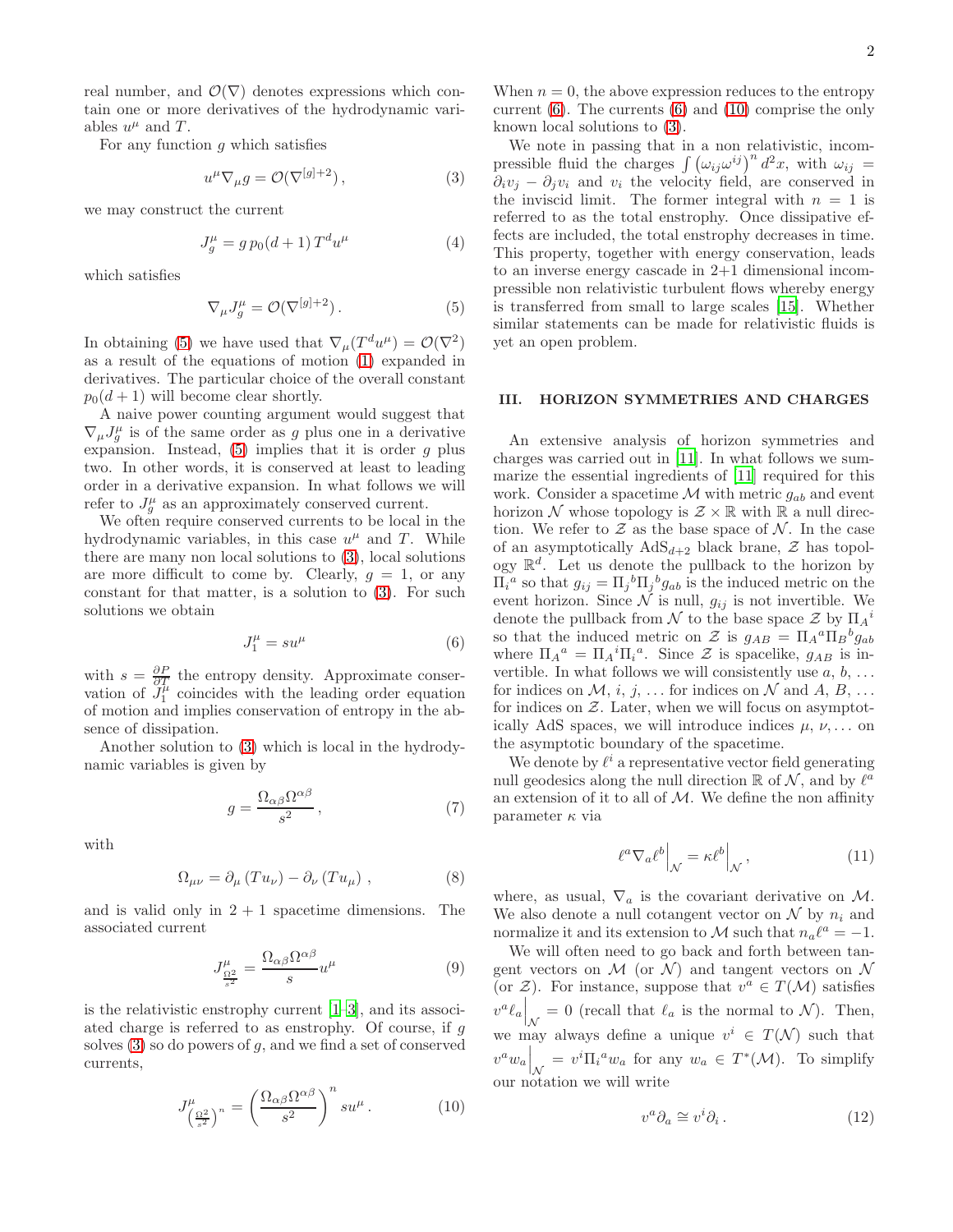For any function  $q$  which satisfies

<span id="page-1-1"></span>
$$
u^{\mu}\nabla_{\mu}g = \mathcal{O}(\nabla^{[g]+2}),\tag{3}
$$

we may construct the current

<span id="page-1-5"></span>
$$
J_g^{\mu} = g p_0 (d+1) T^d u^{\mu}
$$
 (4)

which satisfies

<span id="page-1-0"></span>
$$
\nabla_{\mu}J^{\mu}_{g} = \mathcal{O}(\nabla^{[g]+2}).\tag{5}
$$

In obtaining [\(5\)](#page-1-0) we have used that  $\nabla_{\mu}(T^du^{\mu}) = \mathcal{O}(\nabla^2)$ as a result of the equations of motion [\(1\)](#page-0-4) expanded in derivatives. The particular choice of the overall constant  $p_0(d+1)$  will become clear shortly.

A naive power counting argument would suggest that  $\nabla_{\mu}J^{\mu}_{g}$  is of the same order as g plus one in a derivative expansion. Instead,  $(5)$  implies that it is order g plus two. In other words, it is conserved at least to leading order in a derivative expansion. In what follows we will refer to  $J_g^{\mu}$  as an approximately conserved current.

We often require conserved currents to be local in the hydrodynamic variables, in this case  $u^{\mu}$  and T. While there are many non local solutions to [\(3\)](#page-1-1), local solutions are more difficult to come by. Clearly,  $g = 1$ , or any constant for that matter, is a solution to [\(3\)](#page-1-1). For such solutions we obtain

<span id="page-1-2"></span>
$$
J_1^{\mu} = su^{\mu} \tag{6}
$$

with  $s = \frac{\partial P}{\partial T}$  the entropy density. Approximate conservation of  $J_1^{\mu}$  coincides with the leading order equation of motion and implies conservation of entropy in the absence of dissipation.

Another solution to [\(3\)](#page-1-1) which is local in the hydrodynamic variables is given by

$$
g = \frac{\Omega_{\alpha\beta}\Omega^{\alpha\beta}}{s^2},\tag{7}
$$

with

$$
\Omega_{\mu\nu} = \partial_{\mu} (T u_{\nu}) - \partial_{\nu} (T u_{\mu}), \qquad (8)
$$

and is valid only in  $2 + 1$  spacetime dimensions. The associated current

$$
J^{\mu}_{\frac{\Omega^2}{s^2}} = \frac{\Omega_{\alpha\beta}\Omega^{\alpha\beta}}{s}u^{\mu} \tag{9}
$$

is the relativistic enstrophy current [\[1](#page-4-0)[–3\]](#page-4-1), and its associated charge is referred to as enstrophy. Of course, if g solves  $(3)$  so do powers of g, and we find a set of conserved currents,

<span id="page-1-3"></span>
$$
J_{\left(\frac{\Omega^2}{s^2}\right)^n}^{\mu} = \left(\frac{\Omega_{\alpha\beta}\Omega^{\alpha\beta}}{s^2}\right)^n su^{\mu}.
$$
 (10)

When  $n = 0$ , the above expression reduces to the entropy current  $(6)$ . The currents  $(6)$  and  $(10)$  comprise the only known local solutions to [\(3\)](#page-1-1).

We note in passing that in a non relativistic, incompressible fluid the charges  $\int (\omega_{ij}\omega^{ij})^n d^2x$ , with  $\omega_{ij} =$  $\partial_i v_i - \partial_i v_i$  and  $v_i$  the velocity field, are conserved in the inviscid limit. The former integral with  $n = 1$  is referred to as the total enstrophy. Once dissipative effects are included, the total enstrophy decreases in time. This property, together with energy conservation, leads to an inverse energy cascade in 2+1 dimensional incompressible non relativistic turbulent flows whereby energy is transferred from small to large scales [\[15](#page-4-12)]. Whether similar statements can be made for relativistic fluids is yet an open problem.

#### III. HORIZON SYMMETRIES AND CHARGES

An extensive analysis of horizon symmetries and charges was carried out in [\[11\]](#page-4-7). In what follows we summarize the essential ingredients of [\[11\]](#page-4-7) required for this work. Consider a spacetime  $\mathcal M$  with metric  $g_{ab}$  and event horizon N whose topology is  $\mathcal{Z} \times \mathbb{R}$  with  $\mathbb{R}$  a null direction. We refer to  $Z$  as the base space of  $N$ . In the case of an asymptotically  $AdS_{d+2}$  black brane,  $\mathcal Z$  has topology  $\mathbb{R}^d$ . Let us denote the pullback to the horizon by  $\Pi_i^a$  so that  $g_{ij} = \Pi_j{}^b \Pi_j{}^b g_{ab}$  is the induced metric on the event horizon. Since  $N$  is null,  $g_{ij}$  is not invertible. We denote the pullback from  $\mathcal N$  to the base space  $\mathcal Z$  by  $\Pi_A{}^i$ so that the induced metric on Z is  $g_{AB} = \prod_{A}^{a} \prod_{B}^{b} g_{ab}$ where  $\Pi_{A}{}^{a} = \Pi_{A}{}^{i} \Pi_{i}{}^{a}$ . Since  $\mathcal{Z}$  is spacelike,  $g_{AB}$  is invertible. In what follows we will consistently use  $a, b, \ldots$ for indices on  $\mathcal{M}, i, j, \ldots$  for indices on  $\mathcal N$  and  $A, B, \ldots$ for indices on  $Z$ . Later, when we will focus on asymptotically AdS spaces, we will introduce indices  $\mu$ ,  $\nu$ , ... on the asymptotic boundary of the spacetime.

We denote by  $\ell^i$  a representative vector field generating null geodesics along the null direction  $\mathbb R$  of  $\mathcal N$ , and by  $\ell^{\overline{a}}$ an extension of it to all of  $M$ . We define the non affinity parameter  $\kappa$  via

<span id="page-1-4"></span>
$$
\ell^a \nabla_a \ell^b \Big|_{\mathcal{N}} = \kappa \ell^b \Big|_{\mathcal{N}},\tag{11}
$$

where, as usual,  $\nabla_a$  is the covariant derivative on M. We also denote a null cotangent vector on  $\mathcal N$  by  $n_i$  and normalize it and its extension to M such that  $n_a \ell^a = -1$ .

We will often need to go back and forth between tangent vectors on  $\mathcal M$  (or  $\mathcal N$ ) and tangent vectors on  $\mathcal N$ (or  $\mathcal{Z}$ ). For instance, suppose that  $v^a \in T(\mathcal{M})$  satisfies  $v^a \ell_a \Big|_{\mathcal{N}} = 0$  (recall that  $\ell_a$  is the normal to  $\mathcal{N}$ ). Then, we may always define a unique  $v^i \in T(\mathcal{N})$  such that  $v^a w_a \Big|_{\mathcal{N}} = v^i \Pi_i^a w_a$  for any  $w_a \in T^*(\mathcal{M})$ . To simplify our notation we will write

$$
v^a \partial_a \cong v^i \partial_i . \tag{12}
$$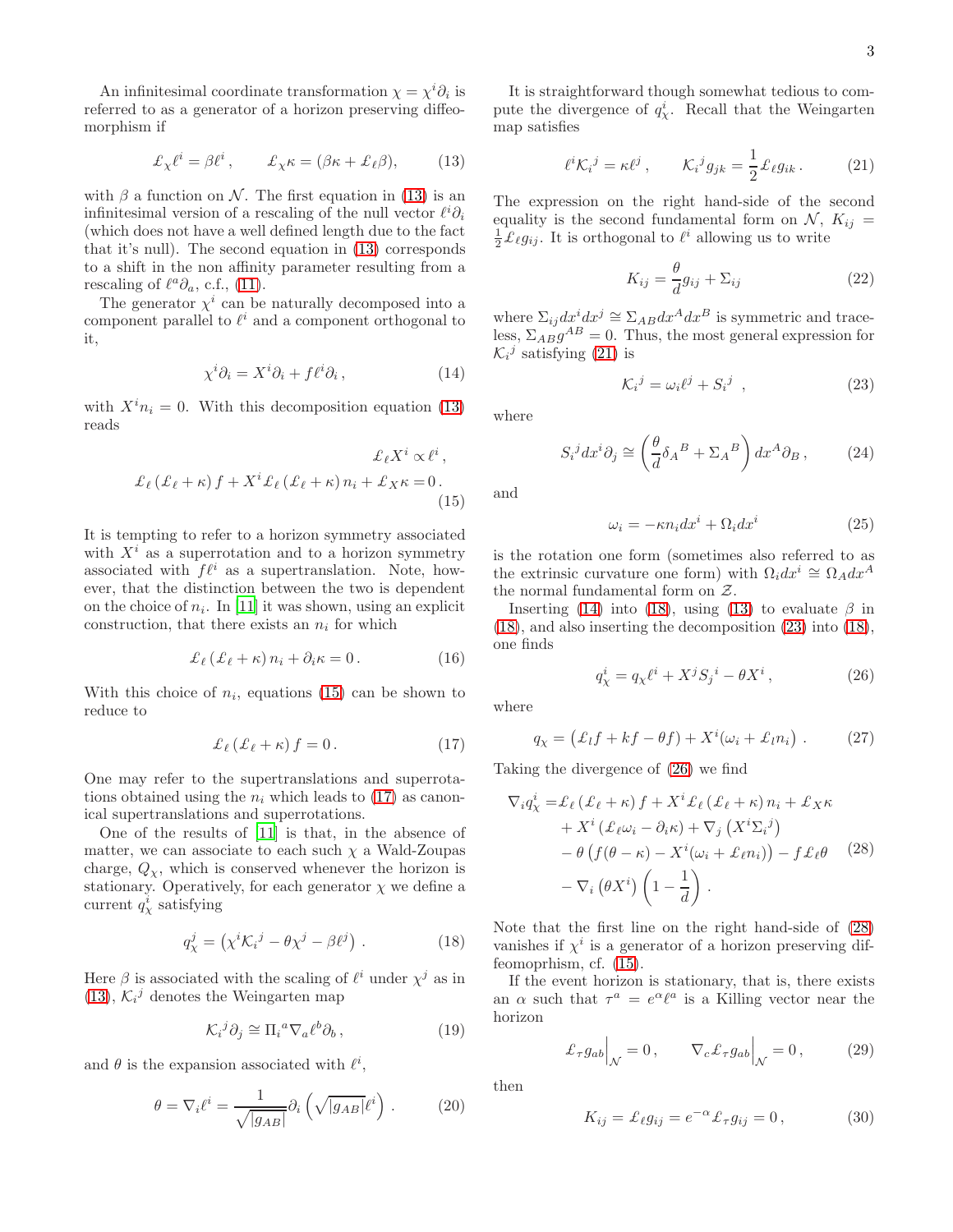An infinitesimal coordinate transformation  $\chi = \chi^i \partial_i$  is referred to as a generator of a horizon preserving diffeomorphism if

<span id="page-2-0"></span>
$$
\pounds_{\chi}\ell^{i} = \beta \ell^{i}, \qquad \pounds_{\chi}\kappa = (\beta \kappa + \pounds_{\ell}\beta), \tag{13}
$$

with  $\beta$  a function on N. The first equation in [\(13\)](#page-2-0) is an infinitesimal version of a rescaling of the null vector  $\ell^i \partial_i$ (which does not have a well defined length due to the fact that it's null). The second equation in [\(13\)](#page-2-0) corresponds to a shift in the non affinity parameter resulting from a rescaling of  $\ell^a \partial_a$ , c.f., [\(11\)](#page-1-4).

The generator  $\chi^i$  can be naturally decomposed into a component parallel to  $\ell^i$  and a component orthogonal to it,

<span id="page-2-4"></span>
$$
\chi^i \partial_i = X^i \partial_i + f \ell^i \partial_i, \qquad (14)
$$

with  $X^{i}n_{i} = 0$ . With this decomposition equation [\(13\)](#page-2-0) reads

$$
\mathcal{L}_{\ell} X^{i} \propto \ell^{i},
$$
  

$$
\mathcal{L}_{\ell} (\mathcal{L}_{\ell} + \kappa) f + X^{i} \mathcal{L}_{\ell} (\mathcal{L}_{\ell} + \kappa) n_{i} + \mathcal{L}_{X} \kappa = 0.
$$
 (15)

It is tempting to refer to a horizon symmetry associated with  $X^i$  as a superrotation and to a horizon symmetry associated with  $f\ell^i$  as a supertranslation. Note, however, that the distinction between the two is dependent on the choice of  $n_i$ . In [\[11\]](#page-4-7) it was shown, using an explicit construction, that there exists an  $n_i$  for which

<span id="page-2-10"></span>
$$
\mathcal{L}_{\ell}(\mathcal{L}_{\ell} + \kappa) n_i + \partial_i \kappa = 0.
$$
 (16)

With this choice of  $n_i$ , equations [\(15\)](#page-2-1) can be shown to reduce to

<span id="page-2-2"></span>
$$
\mathcal{L}_{\ell}(\mathcal{L}_{\ell} + \kappa) f = 0.
$$
 (17)

One may refer to the supertranslations and superrotations obtained using the  $n_i$  which leads to [\(17\)](#page-2-2) as canonical supertranslations and superrotations.

One of the results of [\[11\]](#page-4-7) is that, in the absence of matter, we can associate to each such  $\chi$  a Wald-Zoupas charge,  $Q_{\chi}$ , which is conserved whenever the horizon is stationary. Operatively, for each generator  $\chi$  we define a current  $q_{\chi}^{i}$  satisfying

<span id="page-2-5"></span>
$$
q^j_\chi = \left(\chi^i \mathcal{K}_i{}^j - \theta \chi^j - \beta \ell^j\right) . \tag{18}
$$

Here  $\beta$  is associated with the scaling of  $\ell^i$  under  $\chi^j$  as in [\(13\)](#page-2-0),  $\mathcal{K}_i^j$  denotes the Weingarten map

$$
\mathcal{K}_i{}^j \partial_j \cong \Pi_i{}^a \nabla_a \ell^b \partial_b , \qquad (19)
$$

and  $\theta$  is the expansion associated with  $\ell^i$ ,

$$
\theta = \nabla_i \ell^i = \frac{1}{\sqrt{|g_{AB}|}} \partial_i \left( \sqrt{|g_{AB}|} \ell^i \right) . \tag{20}
$$

It is straightforward though somewhat tedious to compute the divergence of  $q_{\chi}^{i}$ . Recall that the Weingarten map satisfies

<span id="page-2-3"></span>
$$
\ell^i \mathcal{K}_i^j = \kappa \ell^j \,, \qquad \mathcal{K}_i^j g_{jk} = \frac{1}{2} \pounds_\ell g_{ik} \,. \tag{21}
$$

The expression on the right hand-side of the second equality is the second fundamental form on  $\mathcal{N}, K_{ij} =$  $\frac{1}{2}\mathcal{L}_{\ell}g_{ij}$ . It is orthogonal to  $\ell^{i}$  allowing us to write

$$
K_{ij} = \frac{\theta}{d}g_{ij} + \Sigma_{ij}
$$
 (22)

where  $\Sigma_{ij}dx^idx^j \cong \Sigma_{AB}dx^Adx^B$  is symmetric and traceless,  $\Sigma_{AB}g^{AB} = 0$ . Thus, the most general expression for  $\mathcal{K}_i{}^j$  satisfying [\(21\)](#page-2-3) is

<span id="page-2-6"></span>
$$
\mathcal{K}_i{}^j = \omega_i \ell^j + S_i{}^j \quad , \tag{23}
$$

where

$$
S_i{}^j dx^i \partial_j \cong \left(\frac{\theta}{d} \delta_A{}^B + \Sigma_A{}^B\right) dx^A \partial_B ,\qquad (24)
$$

<span id="page-2-1"></span>and

$$
\omega_i = -\kappa n_i dx^i + \Omega_i dx^i \tag{25}
$$

is the rotation one form (sometimes also referred to as the extrinsic curvature one form) with  $\Omega_i dx^i \cong \Omega_A dx^A$ the normal fundamental form on  $Z$ .

Inserting [\(14\)](#page-2-4) into [\(18\)](#page-2-5), using [\(13\)](#page-2-0) to evaluate  $\beta$  in [\(18\)](#page-2-5), and also inserting the decomposition [\(23\)](#page-2-6) into [\(18\)](#page-2-5), one finds

<span id="page-2-8"></span><span id="page-2-7"></span>
$$
q^i_{\chi} = q_{\chi} \ell^i + X^j S_j{}^i - \theta X^i , \qquad (26)
$$

where

$$
q_{\chi} = (\mathcal{L}_l f + kf - \theta f) + X^i(\omega_i + \mathcal{L}_l n_i) . \tag{27}
$$

Taking the divergence of [\(26\)](#page-2-7) we find

$$
\nabla_i q_X^i = \mathcal{L}_{\ell} \left( \mathcal{L}_{\ell} + \kappa \right) f + X^i \mathcal{L}_{\ell} \left( \mathcal{L}_{\ell} + \kappa \right) n_i + \mathcal{L}_X \kappa \n+ X^i \left( \mathcal{L}_{\ell} \omega_i - \partial_i \kappa \right) + \nabla_j \left( X^i \Sigma_i^j \right) \n- \theta \left( f(\theta - \kappa) - X^i (\omega_i + \mathcal{L}_{\ell} n_i) \right) - f \mathcal{L}_{\ell} \theta \quad (28) \n- \nabla_i \left( \theta X^i \right) \left( 1 - \frac{1}{d} \right).
$$

Note that the first line on the right hand-side of [\(28\)](#page-2-8) vanishes if  $\chi^i$  is a generator of a horizon preserving diffeomoprhism, cf. [\(15\)](#page-2-1).

If the event horizon is stationary, that is, there exists an  $\alpha$  such that  $\tau^a = e^{\alpha} \ell^a$  is a Killing vector near the horizon

<span id="page-2-9"></span>
$$
\mathcal{L}_{\tau}g_{ab}\Big|_{\mathcal{N}}=0\,,\qquad\nabla_{c}\mathcal{L}_{\tau}g_{ab}\Big|_{\mathcal{N}}=0\,,\tag{29}
$$

then

$$
K_{ij} = \mathcal{L}_{\ell} g_{ij} = e^{-\alpha} \mathcal{L}_{\tau} g_{ij} = 0, \qquad (30)
$$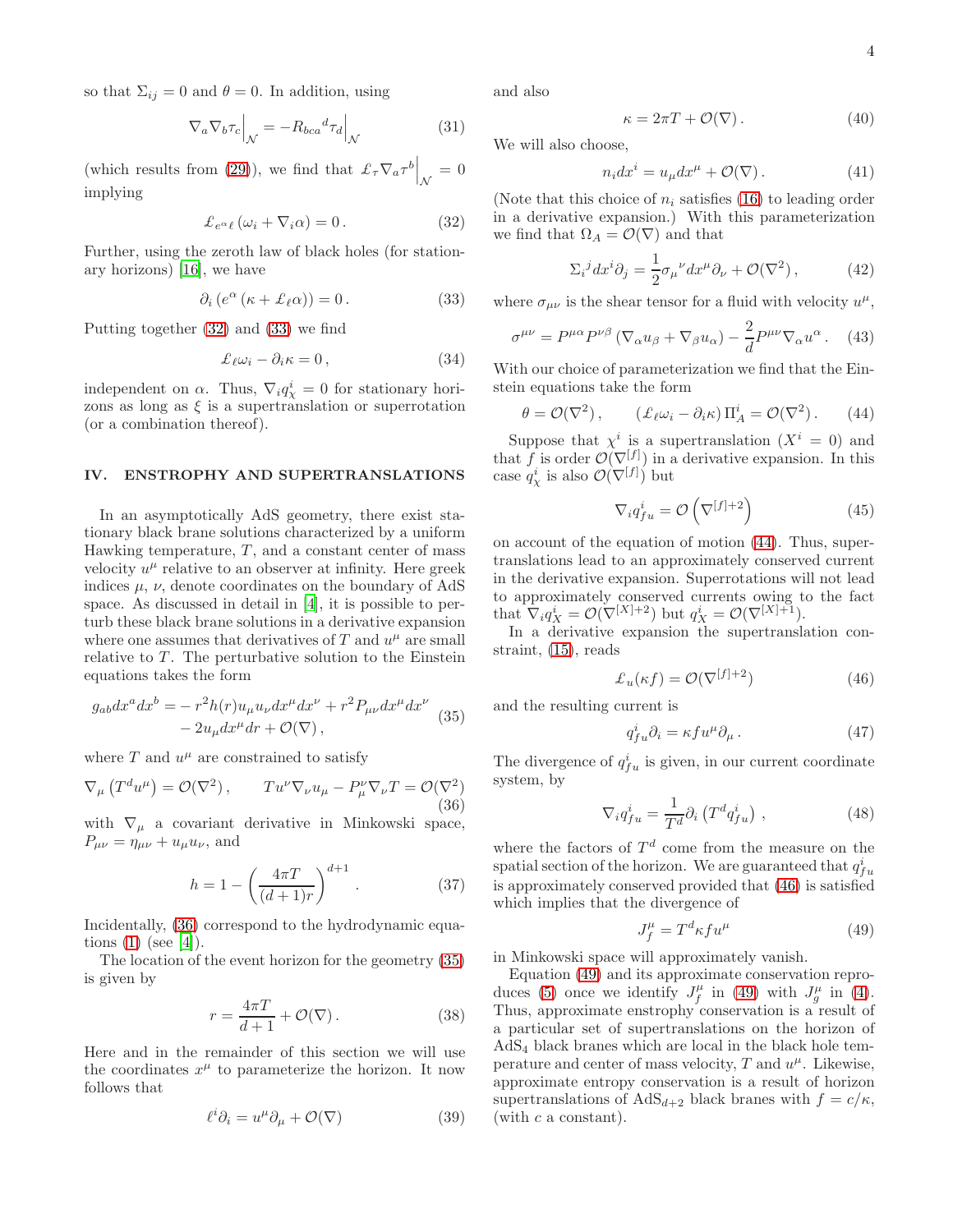so that  $\Sigma_{ij} = 0$  and  $\theta = 0$ . In addition, using

$$
\nabla_a \nabla_b \tau_c \Big|_{\mathcal{N}} = -R_{bca}{}^d \tau_d \Big|_{\mathcal{N}} \tag{31}
$$

(which results from [\(29\)](#page-2-9)), we find that  $\mathcal{L}_{\tau} \nabla_a \tau^b \Big|_{\mathcal{N}} = 0$ implying

<span id="page-3-0"></span>
$$
\mathcal{L}_{e^{\alpha}\ell} \left( \omega_i + \nabla_i \alpha \right) = 0. \tag{32}
$$

Further, using the zeroth law of black holes (for stationary horizons) [\[16\]](#page-4-13), we have

<span id="page-3-1"></span>
$$
\partial_i \left( e^{\alpha} \left( \kappa + \pounds_{\ell} \alpha \right) \right) = 0. \tag{33}
$$

Putting together [\(32\)](#page-3-0) and [\(33\)](#page-3-1) we find

$$
\mathcal{L}_{\ell}\omega_i - \partial_i \kappa = 0, \qquad (34)
$$

independent on  $\alpha$ . Thus,  $\nabla_i q^i_{\chi} = 0$  for stationary horizons as long as  $\xi$  is a supertranslation or superrotation (or a combination thereof).

#### IV. ENSTROPHY AND SUPERTRANSLATIONS

In an asymptotically AdS geometry, there exist stationary black brane solutions characterized by a uniform Hawking temperature,  $T$ , and a constant center of mass velocity  $u^{\mu}$  relative to an observer at infinity. Here greek indices  $\mu$ ,  $\nu$ , denote coordinates on the boundary of AdS space. As discussed in detail in [\[4](#page-4-2)], it is possible to perturb these black brane solutions in a derivative expansion where one assumes that derivatives of  $T$  and  $u^{\mu}$  are small relative to  $T$ . The perturbative solution to the Einstein equations takes the form

$$
g_{ab}dx^a dx^b = -r^2 h(r)u_\mu u_\nu dx^\mu dx^\nu + r^2 P_{\mu\nu} dx^\mu dx^\nu
$$
  

$$
-2u_\mu dx^\mu dr + \mathcal{O}(\nabla),
$$
 (35)

where  $T$  and  $u^{\mu}$  are constrained to satisfy

<span id="page-3-2"></span>
$$
\nabla_{\mu} (T^d u^{\mu}) = \mathcal{O}(\nabla^2), \qquad Tu^{\nu} \nabla_{\nu} u_{\mu} - P^{\nu}_{\mu} \nabla_{\nu} T = \mathcal{O}(\nabla^2)
$$
\n(36)

with  $\nabla_{\mu}$  a covariant derivative in Minkowski space,  $P_{\mu\nu} = \eta_{\mu\nu} + u_{\mu}u_{\nu}$ , and

$$
h = 1 - \left(\frac{4\pi T}{(d+1)r}\right)^{d+1}.
$$
 (37)

Incidentally, [\(36\)](#page-3-2) correspond to the hydrodynamic equations  $(1)$  (see [\[4](#page-4-2)]).

The location of the event horizon for the geometry [\(35\)](#page-3-3) is given by

$$
r = \frac{4\pi T}{d+1} + \mathcal{O}(\nabla). \tag{38}
$$

Here and in the remainder of this section we will use the coordinates  $x^{\mu}$  to parameterize the horizon. It now follows that

$$
\ell^i \partial_i = u^\mu \partial_\mu + \mathcal{O}(\nabla) \tag{39}
$$

and also

$$
\kappa = 2\pi T + \mathcal{O}(\nabla). \tag{40}
$$

We will also choose,

$$
n_i dx^i = u_\mu dx^\mu + \mathcal{O}(\nabla). \tag{41}
$$

(Note that this choice of  $n_i$  satisfies [\(16\)](#page-2-10) to leading order in a derivative expansion.) With this parameterization we find that  $\Omega_A = \mathcal{O}(\nabla)$  and that

$$
\Sigma_i{}^j dx^i \partial_j = \frac{1}{2} \sigma_\mu{}^\nu dx^\mu \partial_\nu + \mathcal{O}(\nabla^2) \,, \tag{42}
$$

where  $\sigma_{\mu\nu}$  is the shear tensor for a fluid with velocity  $u^{\mu}$ ,

$$
\sigma^{\mu\nu} = P^{\mu\alpha} P^{\nu\beta} \left( \nabla_{\alpha} u_{\beta} + \nabla_{\beta} u_{\alpha} \right) - \frac{2}{d} P^{\mu\nu} \nabla_{\alpha} u^{\alpha} \,. \tag{43}
$$

With our choice of parameterization we find that the Einstein equations take the form

<span id="page-3-4"></span>
$$
\theta = \mathcal{O}(\nabla^2), \qquad (\pounds_{\ell}\omega_i - \partial_i \kappa) \Pi_A^i = \mathcal{O}(\nabla^2). \qquad (44)
$$

Suppose that  $\chi^i$  is a supertranslation  $(X^i = 0)$  and that f is order  $\mathcal{O}(\nabla^{[f]})$  in a derivative expansion. In this case  $q_{\chi}^{i}$  is also  $\mathcal{O}(\nabla^{[f]})$  but

$$
\nabla_i q_{fu}^i = \mathcal{O}\left(\nabla^{[f]+2}\right) \tag{45}
$$

on account of the equation of motion [\(44\)](#page-3-4). Thus, supertranslations lead to an approximately conserved current in the derivative expansion. Superrotations will not lead to approximately conserved currents owing to the fact that  $\nabla_i q_X^i = \mathcal{O}(\nabla^{[X]+2})$  but  $q_X^i = \mathcal{O}(\nabla^{[X]+1})$ .

In a derivative expansion the supertranslation constraint, [\(15\)](#page-2-1), reads

<span id="page-3-5"></span>
$$
\mathcal{L}_u(\kappa f) = \mathcal{O}(\nabla^{[f]+2})\tag{46}
$$

<span id="page-3-3"></span>and the resulting current is

$$
q_{fu}^{i}\partial_{i} = \kappa f u^{\mu}\partial_{\mu} . \tag{47}
$$

The divergence of  $q_{fu}^{i}$  is given, in our current coordinate system, by

$$
\nabla_i q_{fu}^i = \frac{1}{T^d} \partial_i \left( T^d q_{fu}^i \right) , \qquad (48)
$$

where the factors of  $T<sup>d</sup>$  come from the measure on the spatial section of the horizon. We are guaranteed that  $q_{fu}^{i}$ is approximately conserved provided that [\(46\)](#page-3-5) is satisfied which implies that the divergence of

<span id="page-3-6"></span>
$$
J_f^{\mu} = T^d \kappa f u^{\mu} \tag{49}
$$

in Minkowski space will approximately vanish.

Equation [\(49\)](#page-3-6) and its approximate conservation repro-duces [\(5\)](#page-1-0) once we identify  $J_f^{\mu}$  in [\(49\)](#page-3-6) with  $J_g^{\mu}$  in [\(4\)](#page-1-5). Thus, approximate enstrophy conservation is a result of a particular set of supertranslations on the horizon of AdS<sup>4</sup> black branes which are local in the black hole temperature and center of mass velocity,  $T$  and  $u^{\mu}$ . Likewise, approximate entropy conservation is a result of horizon supertranslations of  $AdS_{d+2}$  black branes with  $f = c/\kappa$ , (with  $c$  a constant).